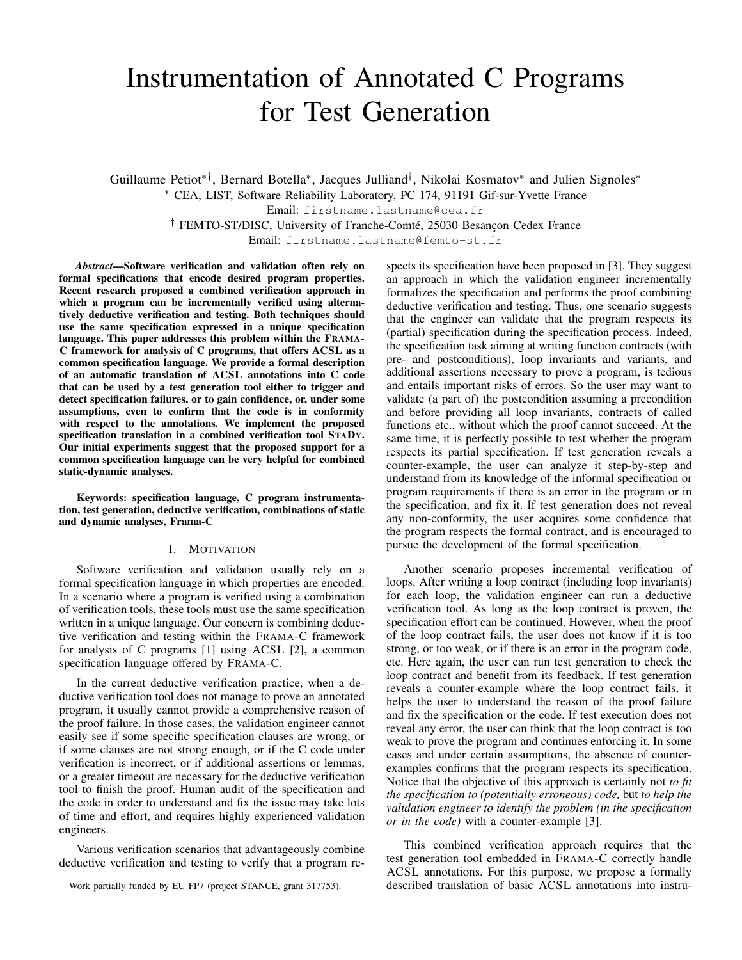# Instrumentation of Annotated C Programs for Test Generation

Guillaume Petiot<sup>\*†</sup>, Bernard Botella<sup>\*</sup>, Jacques Julliand<sup>†</sup>, Nikolai Kosmatov<sup>\*</sup> and Julien Signoles<sup>\*</sup>

<sup>∗</sup> CEA, LIST, Software Reliability Laboratory, PC 174, 91191 Gif-sur-Yvette France

Email: firstname.lastname@cea.fr

<sup>†</sup> FEMTO-ST/DISC, University of Franche-Comté, 25030 Besançon Cedex France

Email: firstname.lastname@femto-st.fr

*Abstract*—Software verification and validation often rely on formal specifications that encode desired program properties. Recent research proposed a combined verification approach in which a program can be incrementally verified using alternatively deductive verification and testing. Both techniques should use the same specification expressed in a unique specification language. This paper addresses this problem within the FRAMA-C framework for analysis of C programs, that offers ACSL as a common specification language. We provide a formal description of an automatic translation of ACSL annotations into C code that can be used by a test generation tool either to trigger and detect specification failures, or to gain confidence, or, under some assumptions, even to confirm that the code is in conformity with respect to the annotations. We implement the proposed specification translation in a combined verification tool STADY. Our initial experiments suggest that the proposed support for a common specification language can be very helpful for combined static-dynamic analyses.

Keywords: specification language, C program instrumentation, test generation, deductive verification, combinations of static and dynamic analyses, Frama-C

## I. MOTIVATION

Software verification and validation usually rely on a formal specification language in which properties are encoded. In a scenario where a program is verified using a combination of verification tools, these tools must use the same specification written in a unique language. Our concern is combining deductive verification and testing within the FRAMA-C framework for analysis of C programs [1] using ACSL [2], a common specification language offered by FRAMA-C.

In the current deductive verification practice, when a deductive verification tool does not manage to prove an annotated program, it usually cannot provide a comprehensive reason of the proof failure. In those cases, the validation engineer cannot easily see if some specific specification clauses are wrong, or if some clauses are not strong enough, or if the C code under verification is incorrect, or if additional assertions or lemmas, or a greater timeout are necessary for the deductive verification tool to finish the proof. Human audit of the specification and the code in order to understand and fix the issue may take lots of time and effort, and requires highly experienced validation engineers.

Various verification scenarios that advantageously combine deductive verification and testing to verify that a program respects its specification have been proposed in [3]. They suggest an approach in which the validation engineer incrementally formalizes the specification and performs the proof combining deductive verification and testing. Thus, one scenario suggests that the engineer can validate that the program respects its (partial) specification during the specification process. Indeed, the specification task aiming at writing function contracts (with pre- and postconditions), loop invariants and variants, and additional assertions necessary to prove a program, is tedious and entails important risks of errors. So the user may want to validate (a part of) the postcondition assuming a precondition and before providing all loop invariants, contracts of called functions etc., without which the proof cannot succeed. At the same time, it is perfectly possible to test whether the program respects its partial specification. If test generation reveals a counter-example, the user can analyze it step-by-step and understand from its knowledge of the informal specification or program requirements if there is an error in the program or in the specification, and fix it. If test generation does not reveal any non-conformity, the user acquires some confidence that the program respects the formal contract, and is encouraged to pursue the development of the formal specification.

Another scenario proposes incremental verification of loops. After writing a loop contract (including loop invariants) for each loop, the validation engineer can run a deductive verification tool. As long as the loop contract is proven, the specification effort can be continued. However, when the proof of the loop contract fails, the user does not know if it is too strong, or too weak, or if there is an error in the program code, etc. Here again, the user can run test generation to check the loop contract and benefit from its feedback. If test generation reveals a counter-example where the loop contract fails, it helps the user to understand the reason of the proof failure and fix the specification or the code. If test execution does not reveal any error, the user can think that the loop contract is too weak to prove the program and continues enforcing it. In some cases and under certain assumptions, the absence of counterexamples confirms that the program respects its specification. Notice that the objective of this approach is certainly not *to fit the specification to (potentially erroneous) code,* but *to help the validation engineer to identify the problem (in the specification or in the code)* with a counter-example [3].

This combined verification approach requires that the test generation tool embedded in FRAMA-C correctly handle ACSL annotations. For this purpose, we propose a formally described translation of basic ACSL annotations into instru-

Work partially funded by EU FP7 (project STANCE, grant 317753).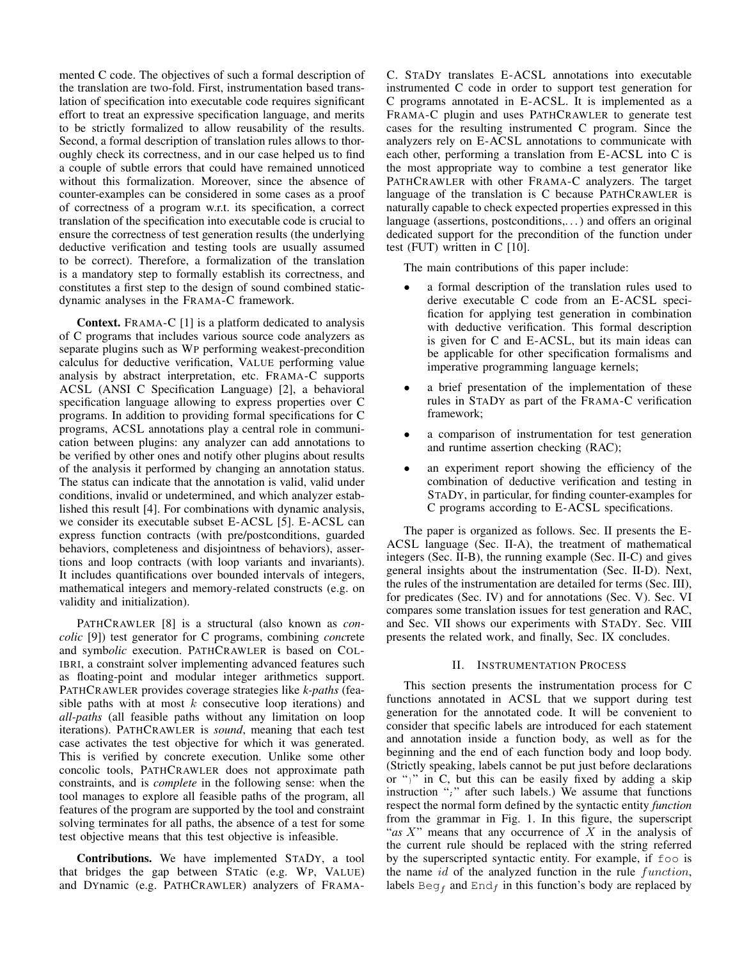mented C code. The objectives of such a formal description of the translation are two-fold. First, instrumentation based translation of specification into executable code requires significant effort to treat an expressive specification language, and merits to be strictly formalized to allow reusability of the results. Second, a formal description of translation rules allows to thoroughly check its correctness, and in our case helped us to find a couple of subtle errors that could have remained unnoticed without this formalization. Moreover, since the absence of counter-examples can be considered in some cases as a proof of correctness of a program w.r.t. its specification, a correct translation of the specification into executable code is crucial to ensure the correctness of test generation results (the underlying deductive verification and testing tools are usually assumed to be correct). Therefore, a formalization of the translation is a mandatory step to formally establish its correctness, and constitutes a first step to the design of sound combined staticdynamic analyses in the FRAMA-C framework.

Context. FRAMA-C [1] is a platform dedicated to analysis of C programs that includes various source code analyzers as separate plugins such as WP performing weakest-precondition calculus for deductive verification, VALUE performing value analysis by abstract interpretation, etc. FRAMA-C supports ACSL (ANSI C Specification Language) [2], a behavioral specification language allowing to express properties over C programs. In addition to providing formal specifications for C programs, ACSL annotations play a central role in communication between plugins: any analyzer can add annotations to be verified by other ones and notify other plugins about results of the analysis it performed by changing an annotation status. The status can indicate that the annotation is valid, valid under conditions, invalid or undetermined, and which analyzer established this result [4]. For combinations with dynamic analysis, we consider its executable subset E-ACSL [5]. E-ACSL can express function contracts (with pre/postconditions, guarded behaviors, completeness and disjointness of behaviors), assertions and loop contracts (with loop variants and invariants). It includes quantifications over bounded intervals of integers, mathematical integers and memory-related constructs (e.g. on validity and initialization).

PATHCRAWLER [8] is a structural (also known as *concolic* [9]) test generator for C programs, combining *conc*rete and symb*olic* execution. PATHCRAWLER is based on COL-IBRI, a constraint solver implementing advanced features such as floating-point and modular integer arithmetics support. PATHCRAWLER provides coverage strategies like *k-paths* (feasible paths with at most  $k$  consecutive loop iterations) and *all-paths* (all feasible paths without any limitation on loop iterations). PATHCRAWLER is *sound*, meaning that each test case activates the test objective for which it was generated. This is verified by concrete execution. Unlike some other concolic tools, PATHCRAWLER does not approximate path constraints, and is *complete* in the following sense: when the tool manages to explore all feasible paths of the program, all features of the program are supported by the tool and constraint solving terminates for all paths, the absence of a test for some test objective means that this test objective is infeasible.

Contributions. We have implemented STADY, a tool that bridges the gap between STAtic (e.g. WP, VALUE) and DYnamic (e.g. PATHCRAWLER) analyzers of FRAMA-

C. STADY translates E-ACSL annotations into executable instrumented C code in order to support test generation for C programs annotated in E-ACSL. It is implemented as a FRAMA-C plugin and uses PATHCRAWLER to generate test cases for the resulting instrumented C program. Since the analyzers rely on E-ACSL annotations to communicate with each other, performing a translation from E-ACSL into C is the most appropriate way to combine a test generator like PATHCRAWLER with other FRAMA-C analyzers. The target language of the translation is C because PATHCRAWLER is naturally capable to check expected properties expressed in this language (assertions, postconditions,...) and offers an original dedicated support for the precondition of the function under test (FUT) written in C [10].

The main contributions of this paper include:

- a formal description of the translation rules used to derive executable C code from an E-ACSL specification for applying test generation in combination with deductive verification. This formal description is given for C and E-ACSL, but its main ideas can be applicable for other specification formalisms and imperative programming language kernels;
- a brief presentation of the implementation of these rules in STADY as part of the FRAMA-C verification framework;
- a comparison of instrumentation for test generation and runtime assertion checking (RAC);
- an experiment report showing the efficiency of the combination of deductive verification and testing in STADY, in particular, for finding counter-examples for C programs according to E-ACSL specifications.

The paper is organized as follows. Sec. II presents the E-ACSL language (Sec. II-A), the treatment of mathematical integers (Sec. II-B), the running example (Sec. II-C) and gives general insights about the instrumentation (Sec. II-D). Next, the rules of the instrumentation are detailed for terms (Sec. III), for predicates (Sec. IV) and for annotations (Sec. V). Sec. VI compares some translation issues for test generation and RAC, and Sec. VII shows our experiments with STADY. Sec. VIII presents the related work, and finally, Sec. IX concludes.

# II. INSTRUMENTATION PROCESS

This section presents the instrumentation process for C functions annotated in ACSL that we support during test generation for the annotated code. It will be convenient to consider that specific labels are introduced for each statement and annotation inside a function body, as well as for the beginning and the end of each function body and loop body. (Strictly speaking, labels cannot be put just before declarations or "}" in C, but this can be easily fixed by adding a skip instruction ";" after such labels.) We assume that functions respect the normal form defined by the syntactic entity *function* from the grammar in Fig. 1. In this figure, the superscript "*as* X" means that any occurrence of X in the analysis of the current rule should be replaced with the string referred by the superscripted syntactic entity. For example, if foo is the name id of the analyzed function in the rule function, labels  $\text{Beg}_f$  and  $\text{End}_f$  in this function's body are replaced by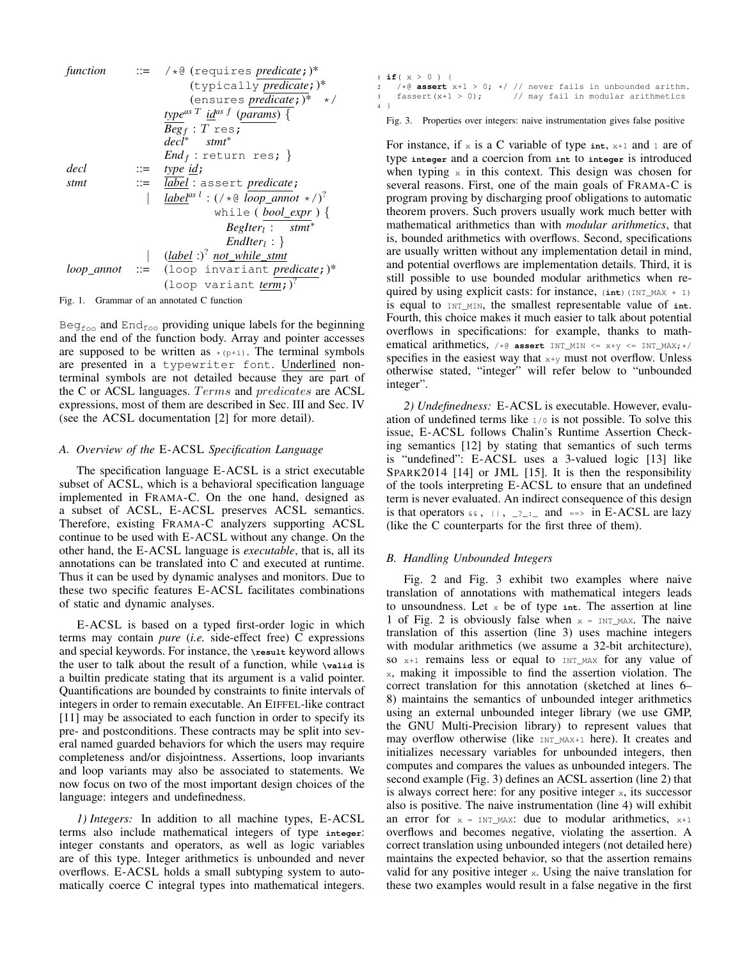*function* ::= /\*@ (requires *predicate*;)\* (typically *predicate*;)\* (ensures *predicate*;)\* \*/ *typeas* <sup>T</sup> *idas* <sup>f</sup> (*params*) { *Beg*<sup>f</sup> : T res; *decl*<sup>∗</sup> *stmt*<sup>∗</sup> *End*<sup>f</sup> : return res; } *decl* ::= *type id*; *stmt* ::= *label* : assert *predicate*; | *labelas* <sup>l</sup> : (/\*@ *loop annot* \*/) ? while ( *bool expr* ) { *BegIter*<sup>l</sup> : *stmt*<sup>∗</sup> *EndIter*<sup>l</sup> : } | (*label* :)? *not while stmt loop annot* ::= (loop invariant *predicate*;)\* (loop variant *term*;) ?

Fig. 1. Grammar of an annotated C function

 $\text{Beg}_{\text{foo}}$  and  $\text{End}_{\text{foo}}$  providing unique labels for the beginning and the end of the function body. Array and pointer accesses are supposed to be written as  $*(p+i)$ . The terminal symbols are presented in a typewriter font. Underlined nonterminal symbols are not detailed because they are part of the C or ACSL languages. Terms and predicates are ACSL expressions, most of them are described in Sec. III and Sec. IV (see the ACSL documentation [2] for more detail).

## *A. Overview of the* E-ACSL *Specification Language*

The specification language E-ACSL is a strict executable subset of ACSL, which is a behavioral specification language implemented in FRAMA-C. On the one hand, designed as a subset of ACSL, E-ACSL preserves ACSL semantics. Therefore, existing FRAMA-C analyzers supporting ACSL continue to be used with E-ACSL without any change. On the other hand, the E-ACSL language is *executable*, that is, all its annotations can be translated into C and executed at runtime. Thus it can be used by dynamic analyses and monitors. Due to these two specific features E-ACSL facilitates combinations of static and dynamic analyses.

E-ACSL is based on a typed first-order logic in which terms may contain *pure* (*i.e.* side-effect free) C expressions and special keywords. For instance, the **\result** keyword allows the user to talk about the result of a function, while **\valid** is a builtin predicate stating that its argument is a valid pointer. Quantifications are bounded by constraints to finite intervals of integers in order to remain executable. An EIFFEL-like contract [11] may be associated to each function in order to specify its pre- and postconditions. These contracts may be split into several named guarded behaviors for which the users may require completeness and/or disjointness. Assertions, loop invariants and loop variants may also be associated to statements. We now focus on two of the most important design choices of the language: integers and undefinedness.

*1) Integers:* In addition to all machine types, E-ACSL terms also include mathematical integers of type **integer**: integer constants and operators, as well as logic variables are of this type. Integer arithmetics is unbounded and never overflows. E-ACSL holds a small subtyping system to automatically coerce C integral types into mathematical integers.

```
1 \text{ if } (x > 0) \}2 /*@ assert x+1 > 0; */ // never fails in unbounded arithm.
                            // may fail in modular arithmetics
4 }
```
Fig. 3. Properties over integers: naive instrumentation gives false positive

For instance, if  $x$  is a C variable of type  $int, x+1$  and 1 are of type **integer** and a coercion from **int** to **integer** is introduced when typing  $\frac{x}{x}$  in this context. This design was chosen for several reasons. First, one of the main goals of FRAMA-C is program proving by discharging proof obligations to automatic theorem provers. Such provers usually work much better with mathematical arithmetics than with *modular arithmetics*, that is, bounded arithmetics with overflows. Second, specifications are usually written without any implementation detail in mind, and potential overflows are implementation details. Third, it is still possible to use bounded modular arithmetics when required by using explicit casts: for instance, (**int**)(INT\_MAX + 1) is equal to INT\_MIN, the smallest representable value of **int**. Fourth, this choice makes it much easier to talk about potential overflows in specifications: for example, thanks to mathematical arithmetics, /\*@ **assert** INT\_MIN <= x+y <= INT\_MAX;\*/ specifies in the easiest way that  $x+y$  must not overflow. Unless otherwise stated, "integer" will refer below to "unbounded integer".

*2) Undefinedness:* E-ACSL is executable. However, evaluation of undefined terms like 1/0 is not possible. To solve this issue, E-ACSL follows Chalin's Runtime Assertion Checking semantics [12] by stating that semantics of such terms is "undefined": E-ACSL uses a 3-valued logic [13] like SPARK2014 [14] or JML [15]. It is then the responsibility of the tools interpreting E-ACSL to ensure that an undefined term is never evaluated. An indirect consequence of this design is that operators  $\&\&\&\,,\quad|\,,\_\_2\_\_\_\_\_$  and  $\Rightarrow\;$  in E-ACSL are lazy (like the C counterparts for the first three of them).

## *B. Handling Unbounded Integers*

Fig. 2 and Fig. 3 exhibit two examples where naive translation of annotations with mathematical integers leads to unsoundness. Let <sup>x</sup> be of type **int**. The assertion at line 1 of Fig. 2 is obviously false when  $x = INT_MAX$ . The naive translation of this assertion (line 3) uses machine integers with modular arithmetics (we assume a 32-bit architecture), so x+1 remains less or equal to INT\_MAX for any value of <sup>x</sup>, making it impossible to find the assertion violation. The correct translation for this annotation (sketched at lines 6– 8) maintains the semantics of unbounded integer arithmetics using an external unbounded integer library (we use GMP, the GNU Multi-Precision library) to represent values that may overflow otherwise (like INT\_MAX+1 here). It creates and initializes necessary variables for unbounded integers, then computes and compares the values as unbounded integers. The second example (Fig. 3) defines an ACSL assertion (line 2) that is always correct here: for any positive integer  $x$ , its successor also is positive. The naive instrumentation (line 4) will exhibit an error for  $x = INT\_MAX$ : due to modular arithmetics,  $x+1$ overflows and becomes negative, violating the assertion. A correct translation using unbounded integers (not detailed here) maintains the expected behavior, so that the assertion remains valid for any positive integer  $\boldsymbol{\mathrm{x}}$ . Using the naive translation for these two examples would result in a false negative in the first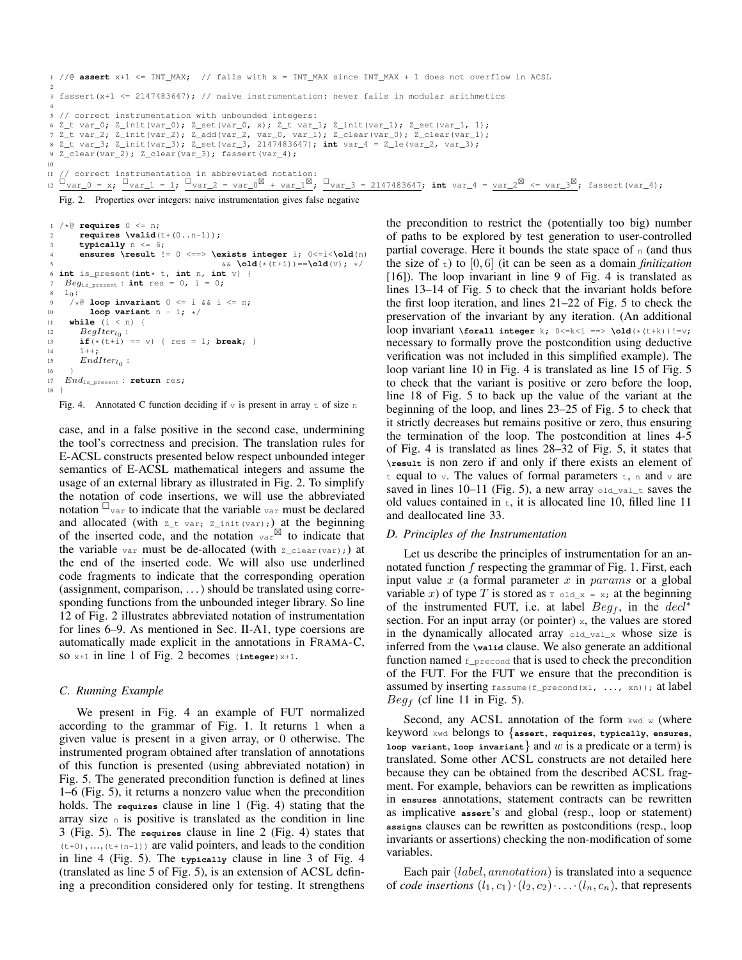```
1 //@ assert x+1 <= INT_MAX; // fails with x = INT_MAX since INT_MAX + 1 does not overflow in ACSL
2
3 fassert(x+1 <= 2147483647); // naive instrumentation: never fails in modular arithmetics
4
5 // correct instrumentation with unbounded integers:
6 Z_t var_0; Z_init(var_0); Z_set(var_0, x); Z_t var_1; Z_init(var_1); Z_set(var_1, 1);
7 Z_t var_2; Z_init(var_2); Z_add(var_2, var_0, var_1); Z_clear(var_0); Z_clear(var_1);
8 \text{ Z} t var 3; \text{Z} init(var 3); \text{Z} set(var 3, 2147483647); int var 4 = \text{Z} le(var 2, var 3);
9 Z_clear(var_2); Z_clear(var_3); fassert(var_4);
10
11 // correct instrumentation in abbreviated notation:<br>12  <sup>O</sup>var_0 = x;  <sup>O</sup>var_1 = 1;  <sup>O</sup>var_2 = var_0<sup>⊠</sup> + var_1<sup>⊠</sup>;  <sup>O</sup>var_3 = 2147483647;  int var_4 = var_2<sup>⊠</sup> <= var_3<sup>⊠</sup>;  fassert(var_4);
```
Fig. 2. Properties over integers: naive instrumentation gives false negative

```
1 /*@ requires 0 <= n;
2 requires \valid(t+(0..n-1));
3 typically n <= 6;
        ensures \result != 0 <==> \exists integer i; 0<=i<\old(n)
                                               \&\&\text{ } \text{old}(\star(\text{t}+i))==\text{old}(v): \star6 int is_present(int* t, int n, int v) {<br>7 \text{ } Rea int res = 0 i = 0
    Beg_{is\_present}: int res = 0, i = 0;
8 \t10:
9 /* loop invariant 0 \le i \le i \le i \le n;<br>10 loop variant n - i \le i'loop variant n - i; */
11 while (i < n) {
12 \qquad BegIter_{l_0}:
13 if(*(t+i) == v) { res = 1; break; }<br>14 i ++:
        1 + + +;
15 EndIter_{l_0}:
16 }
17 Endis_present : return res;
18 }
```
Fig. 4. Annotated C function deciding if  $\nabla$  is present in array  $\pm$  of size n

case, and in a false positive in the second case, undermining the tool's correctness and precision. The translation rules for E-ACSL constructs presented below respect unbounded integer semantics of E-ACSL mathematical integers and assume the usage of an external library as illustrated in Fig. 2. To simplify the notation of code insertions, we will use the abbreviated notation  $\Box_{\text{var}}$  to indicate that the variable var must be declared and allocated (with  $z_t$  var;  $z$ <sub>init(var);</sub>) at the beginning of the inserted code, and the notation  $var^{\boxtimes}$  to indicate that the variable var must be de-allocated (with  $z_{\text{clear(var)}}$ ) at the end of the inserted code. We will also use underlined code fragments to indicate that the corresponding operation (assignment, comparison, . . . ) should be translated using corresponding functions from the unbounded integer library. So line 12 of Fig. 2 illustrates abbreviated notation of instrumentation for lines 6–9. As mentioned in Sec. II-A1, type coersions are automatically made explicit in the annotations in FRAMA-C, so  $x+1$  in line 1 of Fig. 2 becomes (integer) $x+1$ .

#### *C. Running Example*

We present in Fig. 4 an example of FUT normalized according to the grammar of Fig. 1. It returns 1 when a given value is present in a given array, or 0 otherwise. The instrumented program obtained after translation of annotations of this function is presented (using abbreviated notation) in Fig. 5. The generated precondition function is defined at lines 1–6 (Fig. 5), it returns a nonzero value when the precondition holds. The **requires** clause in line 1 (Fig. 4) stating that the array size  $n$  is positive is translated as the condition in line 3 (Fig. 5). The **requires** clause in line 2 (Fig. 4) states that  $(t+0), ..., (t+(n-1))$  are valid pointers, and leads to the condition in line 4 (Fig. 5). The **typically** clause in line 3 of Fig. 4 (translated as line 5 of Fig. 5), is an extension of ACSL defining a precondition considered only for testing. It strengthens

the precondition to restrict the (potentially too big) number of paths to be explored by test generation to user-controlled partial coverage. Here it bounds the state space of  $n$  (and thus the size of  $\epsilon$ ) to [0, 6] (it can be seen as a domain *finitization* [16]). The loop invariant in line 9 of Fig. 4 is translated as lines 13–14 of Fig. 5 to check that the invariant holds before the first loop iteration, and lines 21–22 of Fig. 5 to check the preservation of the invariant by any iteration. (An additional loop invariant **\forall integer** k; 0<=k<i ==> **\old**(\*(t+k))!=v; necessary to formally prove the postcondition using deductive verification was not included in this simplified example). The loop variant line 10 in Fig. 4 is translated as line 15 of Fig. 5 to check that the variant is positive or zero before the loop, line 18 of Fig. 5 to back up the value of the variant at the beginning of the loop, and lines 23–25 of Fig. 5 to check that it strictly decreases but remains positive or zero, thus ensuring the termination of the loop. The postcondition at lines 4-5 of Fig. 4 is translated as lines 28–32 of Fig. 5, it states that **\result** is non zero if and only if there exists an element of  $t$  equal to v. The values of formal parameters  $t$ , n and v are saved in lines 10–11 (Fig. 5), a new array  $\text{old\_val}_t$  saves the old values contained in  $t$ , it is allocated line 10, filled line 11 and deallocated line 33.

## *D. Principles of the Instrumentation*

Let us describe the principles of instrumentation for an annotated function  $f$  respecting the grammar of Fig. 1. First, each input value  $x$  (a formal parameter  $x$  in  $params$  or a global variable x) of type T is stored as  $\text{I}$  old\_x = x; at the beginning of the instrumented FUT, i.e. at label  $Beg_f$ , in the  $decl^*$ section. For an input array (or pointer)  $x$ , the values are stored in the dynamically allocated array old\_val\_x whose size is inferred from the **\valid** clause. We also generate an additional function named  $f_{precond}$  that is used to check the precondition of the FUT. For the FUT we ensure that the precondition is assumed by inserting fassume  $(f_p$ recond $(x1, ..., xn))$ ; at label  $Beg<sub>f</sub>$  (cf line 11 in Fig. 5).

Second, any ACSL annotation of the form  $kwd w$  (where keyword kwd belongs to {**assert**, **requires**, **typically**, **ensures**, **loop variant**, **loop invariant**} and w is a predicate or a term) is translated. Some other ACSL constructs are not detailed here because they can be obtained from the described ACSL fragment. For example, behaviors can be rewritten as implications in **ensures** annotations, statement contracts can be rewritten as implicative **assert**'s and global (resp., loop or statement) **assigns** clauses can be rewritten as postconditions (resp., loop invariants or assertions) checking the non-modification of some variables.

Each pair (label, annotation) is translated into a sequence of *code insertions*  $(l_1, c_1) \cdot (l_2, c_2) \cdot \ldots \cdot (l_n, c_n)$ , that represents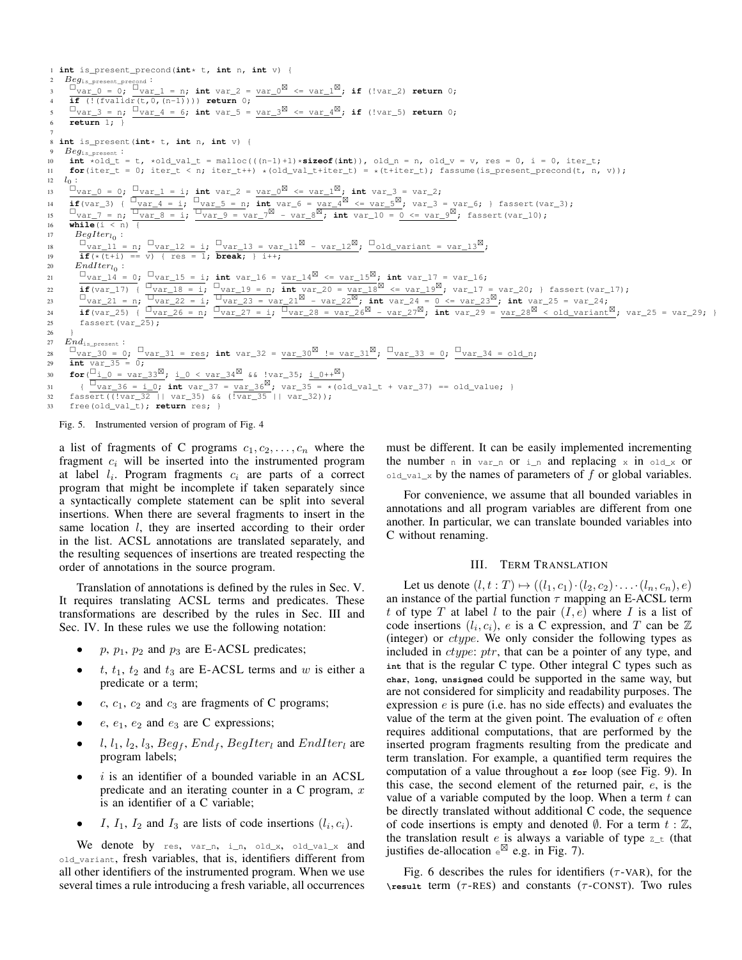```
1 int is_present_precond(int* t, int n, int v) {
  <sup>2</sup> Beg<sub>is_present_precond:<br>3 \Box_{\text{var\_0}} = 0; \Box_{\text{var\_1}} = n; int var_2 = var_0<sup>⊠</sup> <= var_1<sup>⊠</sup>; if (!var_2) return 0;</sub>
 3
  4 if (!(fvalidr(t,0,(n-1)))) return 0;
 5
          \Box_{\text{var\_3}} = n; \Box_{\text{var\_4}} = 6; int var_5 = var_3<sup>\boxtimes</sup> <= var_4\boxtimes; if (!var_5) return 0;
 6 return 1; }
  7
 8 int is_present(int* t, int n, int v) {<br>9 Beas messat:
       \mathit{Beg}_\texttt{is\_present} :
10 int *old_t = t, *old_val_t = malloc(((n-1)+1)*sizeof(int)), old_n = n, old_v = v, res = 0, i = 0, iter_t;<br>
11 for(iter_t = 0; iter_t < n; iter_t++) *(old_val_t+iter_t) = *(t+iter_t); fassume(is_present_precond(t, n, v));
12 l_0:<br>
\frac{1}{2} \frac{1}{2} \frac{1}{2} \frac{1}{2} \frac{1}{2} \frac{1}{2} \frac{1}{2} \frac{1}{2} \frac{1}{2} \frac{1}{2} \frac{1}{2} \frac{1}{2} \frac{1}{2} \frac{1}{2} \frac{1}{2} \frac{1}{2} \frac{1}{2} \frac{1}{2} \frac{1}{2} \frac{1}{2} \frac{1}{2} 
BegIter<sub>l<sub>0</sub></sub>:18 \frac{\Box_{\text{var\_11}} = n!}{\textbf{if}(\star(\text{t}+i)) = \text{v}} \frac{\Box_{\text{var\_12}} = i!}{\textbf{if}(\star(\text{t}+i)) = \text{v}} { \frac{\Box_{\text{var\_13}} = \text{var\_11} \boxtimes - \text{var\_12} \boxtimes}{\textbf{if}(\star(\text{t}+i)) = \text{v}} { \frac{\Box_{\text{var\_14}}}{\textbf{if}(\star(\text{t}+i)) = \text{var\_13} \boxtimes \text{if}(\star(\text{t}+i)) = \text{var\_14}20 EndIter_{l_0}:
\frac{\Box_{\text{var}_1 1 4 = 0}}{\mathrm{if}(var_1 1) + (\frac{\Box_{\text{var}_1 1 5 = 1}}{\Box_{\text{var}_2 1 = n}}; \frac{\Box_{\text{var}_1 1 5 = 1}}{\mathrm{if}(var_1 1) + (\frac{\Box_{\text{var}_1 1 8 = 1}}{\Box_{\text{var}_2 2 = 1}}; \frac{\Box_{\text{var}_1 1 6 = 1}}{\mathrm{if}(var_2 1) + (\frac{\Box_{\text{var}_1 1 8 = 1}}{\Box_{\text{var}_2 2 = 1}}; \frac{\Box_{\text{var}_1 1 9 = n}}{\mathrm{if}(25 fassert(var\overline{25});
26 }
27 End_{\text{is\_present}}:
28 \Box_{\text{var\_30}} = 0; \Box_{\text{var\_31}} = \text{res}; int var_32 = var_30<sup>⊠</sup> != var_31<sup>⊠</sup>; \Box_{\text{var\_33}} = 0; \Box_{\text{var\_34}} = \text{old\_n};
29 int var_3 = 35 = 0;30 for (\Boxi_0 = var_33\boxtimes; i_0 < var_34\boxtimes && !var_35; i_0++\boxtimes)
31 { \frac{\Box_{\text{var\_36}}}{\Box_{\text{var\_36}} = i\_0}; \frac{\partial_{\text{int}}}{\partial x} \frac{\partial \text{d}x}{\partial y} = \frac{\partial \text{d}x}{\partial x} ar \frac{35}{5} = \frac{1}{5} \cdot \frac{1}{5} \cdot \frac{1}{5} \cdot \frac{1}{5} + var \frac{37}{5} = \frac{1}{5} \cdot \frac{1}{5} \cdot \frac{1}{5} \cdot \frac{1}{5}32 fassert((!var_32 || var_35) && (!var_35 || var_32));
```
Fig. 5. Instrumented version of program of Fig. 4

a list of fragments of C programs  $c_1, c_2, \ldots, c_n$  where the fragment  $c_i$  will be inserted into the instrumented program at label  $l_i$ . Program fragments  $c_i$  are parts of a correct program that might be incomplete if taken separately since a syntactically complete statement can be split into several insertions. When there are several fragments to insert in the same location *l*, they are inserted according to their order in the list. ACSL annotations are translated separately, and the resulting sequences of insertions are treated respecting the order of annotations in the source program.

Translation of annotations is defined by the rules in Sec. V. It requires translating ACSL terms and predicates. These transformations are described by the rules in Sec. III and Sec. IV. In these rules we use the following notation:

- $p, p_1, p_2$  and  $p_3$  are E-ACSL predicates;
- $t, t_1, t_2$  and  $t_3$  are E-ACSL terms and w is either a predicate or a term;
- $c, c_1, c_2$  and  $c_3$  are fragments of C programs;
- $e, e_1, e_2$  and  $e_3$  are C expressions;
- $l, l_1, l_2, l_3, Beg_f, End_f, BegIter_l$  and  $EndIter_l$  are program labels;
- $\bullet$  *i* is an identifier of a bounded variable in an ACSL predicate and an iterating counter in a  $C$  program,  $x$ is an identifier of a C variable;
- I,  $I_1$ ,  $I_2$  and  $I_3$  are lists of code insertions  $(l_i, c_i)$ .

We denote by res, var\_n, i\_n, old\_x, old\_val\_x and old\_variant, fresh variables, that is, identifiers different from all other identifiers of the instrumented program. When we use several times a rule introducing a fresh variable, all occurrences

must be different. It can be easily implemented incrementing the number n in var n or i\_n and replacing x in old\_x or  $\text{old\_val\_x}$  by the names of parameters of f or global variables.

For convenience, we assume that all bounded variables in annotations and all program variables are different from one another. In particular, we can translate bounded variables into C without renaming.

## III. TERM TRANSLATION

Let us denote  $(l, t : T) \mapsto ((l_1, c_1) \cdot (l_2, c_2) \cdot \ldots \cdot (l_n, c_n), e)$ an instance of the partial function  $\tau$  mapping an E-ACSL term t of type T at label l to the pair  $(I, e)$  where I is a list of code insertions  $(l_i, c_i)$ , e is a C expression, and T can be Z (integer) or ctype. We only consider the following types as included in *ctype*: *ptr*, that can be a pointer of any type, and **int** that is the regular C type. Other integral C types such as **char**, **long**, **unsigned** could be supported in the same way, but are not considered for simplicity and readability purposes. The expression e is pure (i.e. has no side effects) and evaluates the value of the term at the given point. The evaluation of  $e$  often requires additional computations, that are performed by the inserted program fragments resulting from the predicate and term translation. For example, a quantified term requires the computation of a value throughout a **for** loop (see Fig. 9). In this case, the second element of the returned pair, e, is the value of a variable computed by the loop. When a term  $t$  can be directly translated without additional C code, the sequence of code insertions is empty and denoted  $\emptyset$ . For a term  $t : \mathbb{Z}$ , the translation result e is always a variable of type  $z_{\text{t}}$  (that justifies de-allocation  $e^{\boxtimes}$  e.g. in Fig. 7).

Fig. 6 describes the rules for identifiers  $(\tau$ -VAR), for the **\result** term (τ -RES) and constants (τ -CONST). Two rules

<sup>33</sup> free(old\_val\_t); **return** res; }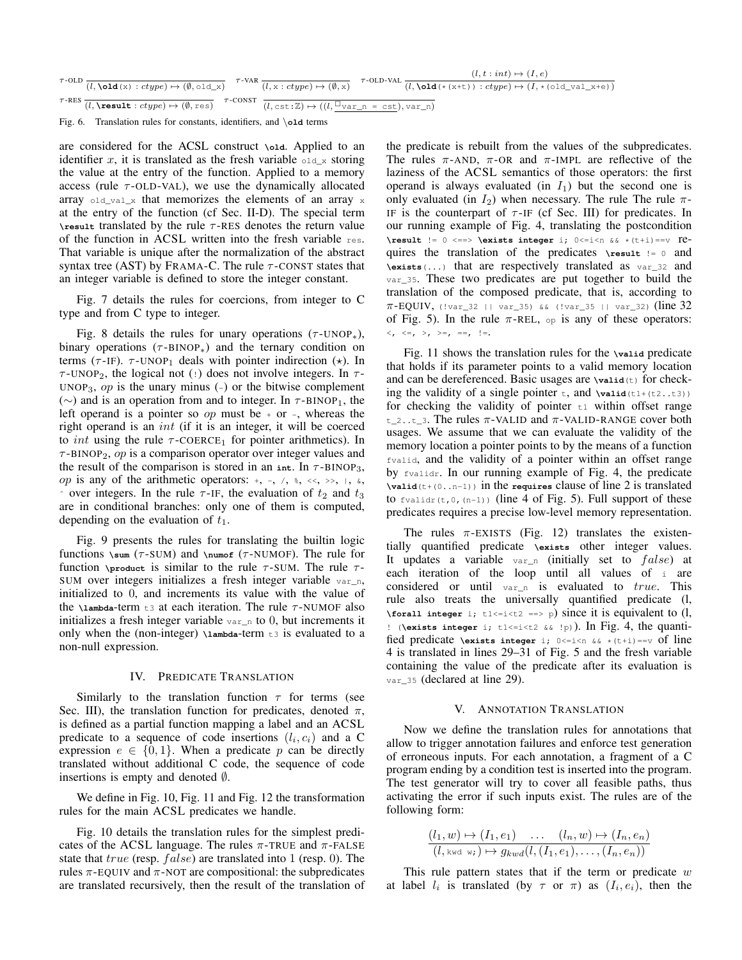| $\tau$ -OLD $\div$ | $\overline{(l,\text{odd}(x):ctype)} \mapsto (\emptyset,\text{old\_x})$  |               | $\tau$ -VAR $(l, x : ctype) \mapsto (\emptyset, x)$                                                           | $(l, t : int) \mapsto (I, e)$<br>$\tau$ -OLD-VAL $-$<br>$(l, \text{old}(*(*+)):ctype) \mapsto (I, * (old_val_x+e))$ |
|--------------------|-------------------------------------------------------------------------|---------------|---------------------------------------------------------------------------------------------------------------|---------------------------------------------------------------------------------------------------------------------|
| $\tau$ -RES $\pm$  | $\overline{(l, \text{result} : dtype) \mapsto (\emptyset, \text{res})}$ | $\tau$ -CONST | $\overline{(l, \text{cst}:\mathbb{Z}) \mapsto ((l, \mathbb{U}_{\text{var\_}n} = \text{cst}), \text{var\_}n)}$ |                                                                                                                     |

Fig. 6. Translation rules for constants, identifiers, and \**old** terms

are considered for the ACSL construct **\old**. Applied to an identifier x, it is translated as the fresh variable  $\text{old}_x$  storing the value at the entry of the function. Applied to a memory access (rule  $\tau$ -OLD-VAL), we use the dynamically allocated array  $\text{old\_val\_x}$  that memorizes the elements of an array x at the entry of the function (cf Sec. II-D). The special term **\result** translated by the rule τ -RES denotes the return value of the function in ACSL written into the fresh variable res. That variable is unique after the normalization of the abstract syntax tree (AST) by FRAMA-C. The rule  $\tau$ -CONST states that an integer variable is defined to store the integer constant.

Fig. 7 details the rules for coercions, from integer to C type and from C type to integer.

Fig. 8 details the rules for unary operations  $(τ$ -UNOP<sub>\*</sub>), binary operations ( $\tau$ -BINOP<sub>\*</sub>) and the ternary condition on terms ( $\tau$ -IF).  $\tau$ -UNOP<sub>1</sub> deals with pointer indirection ( $\star$ ). In  $\tau$ -UNOP<sub>2</sub>, the logical not (!) does not involve integers. In  $\tau$ -UNOP<sub>3</sub>, *op* is the unary minus  $(-)$  or the bitwise complement (∼) and is an operation from and to integer. In  $\tau$ -BINOP<sub>1</sub>, the left operand is a pointer so  $op$  must be  $+$  or  $-$ , whereas the right operand is an int (if it is an integer, it will be coerced to *int* using the rule  $\tau$ -COERCE<sub>1</sub> for pointer arithmetics). In  $\tau$ -BINOP<sub>2</sub>, *op* is a comparison operator over integer values and the result of the comparison is stored in an  $int.$  In  $\tau$ -BINOP<sub>3</sub>, op is any of the arithmetic operators:  $+, -, /, *, \ll, >>, +, *,$  $\gamma$  over integers. In the rule  $\tau$ -IF, the evaluation of  $t_2$  and  $t_3$ are in conditional branches: only one of them is computed, depending on the evaluation of  $t_1$ .

Fig. 9 presents the rules for translating the builtin logic functions  $\sum_{\tau\text{SUM}}$  and  $\sum_{\tau\text{NUMOF}}$ . The rule for function **\product** is similar to the rule  $\tau$ -SUM. The rule  $\tau$ -SUM over integers initializes a fresh integer variable var\_n, initialized to 0, and increments its value with the value of the **\lambda**-term t3 at each iteration. The rule  $\tau$ -NUMOF also initializes a fresh integer variable var\_n to 0, but increments it only when the (non-integer)  $\lambda$ -term t3 is evaluated to a non-null expression.

#### IV. PREDICATE TRANSLATION

Similarly to the translation function  $\tau$  for terms (see Sec. III), the translation function for predicates, denoted  $\pi$ , is defined as a partial function mapping a label and an ACSL predicate to a sequence of code insertions  $(l_i, c_i)$  and a C expression  $e \in \{0, 1\}$ . When a predicate p can be directly translated without additional C code, the sequence of code insertions is empty and denoted ∅.

We define in Fig. 10, Fig. 11 and Fig. 12 the transformation rules for the main ACSL predicates we handle.

Fig. 10 details the translation rules for the simplest predicates of the ACSL language. The rules  $\pi$ -TRUE and  $\pi$ -FALSE state that  $true$  (resp.  $false$ ) are translated into 1 (resp. 0). The rules  $\pi$ -EQUIV and  $\pi$ -NOT are compositional: the subpredicates are translated recursively, then the result of the translation of the predicate is rebuilt from the values of the subpredicates. The rules  $\pi$ -AND,  $\pi$ -OR and  $\pi$ -IMPL are reflective of the laziness of the ACSL semantics of those operators: the first operand is always evaluated (in  $I_1$ ) but the second one is only evaluated (in  $I_2$ ) when necessary. The rule The rule  $\pi$ -IF is the counterpart of  $\tau$ -IF (cf Sec. III) for predicates. In our running example of Fig. 4, translating the postcondition **\result** != 0 <==> **\exists integer** i; 0<=i<n && \*(t+i)==v requires the translation of the predicates **\result** != 0 and **\exists**(...) that are respectively translated as var\_32 and var\_35. These two predicates are put together to build the translation of the composed predicate, that is, according to  $\pi$ -EQUIV, (!var\_32 || var\_35) && (!var\_35 || var\_32) (line 32 of Fig. 5). In the rule  $\pi$ -REL, op is any of these operators:  $\langle , \langle =, >_1 \rangle = , =_1 =_1 \rangle = .$ 

Fig. 11 shows the translation rules for the **\valid** predicate that holds if its parameter points to a valid memory location and can be dereferenced. Basic usages are **\valid**(t) for checking the validity of a single pointer  $t$ , and  $\varphi(t)$ +(t2..t3)) for checking the validity of pointer  $t_1$  within offset range  $t_2...t_3$ . The rules  $\pi$ -VALID and  $\pi$ -VALID-RANGE cover both usages. We assume that we can evaluate the validity of the memory location a pointer points to by the means of a function fvalid, and the validity of a pointer within an offset range by fvalidr. In our running example of Fig. 4, the predicate **\valid**(t+(0..n-1)) in the **requires** clause of line 2 is translated to full support of these to function (n-1)) (line 4 of Fig. 5). Full support of these predicates requires a precise low-level memory representation.

The rules  $\pi$ -EXISTS (Fig. 12) translates the existentially quantified predicate **\exists** other integer values. It updates a variable  $var_n$  (initially set to  $false$ ) at each iteration of the loop until all values of <sup>i</sup> are considered or until  $var_n$  is evaluated to  $true$ . This rule also treats the universally quantified predicate (l, **\forall integer** i; t1<=i<t2 ==> p) since it is equivalent to (l, ! (**\exists integer** i; t1<=i<t2 && !p)). In Fig. 4, the quantified predicate **\exists integer** i;  $0 \le i \le n$  && \*(t+i)==v of line 4 is translated in lines 29–31 of Fig. 5 and the fresh variable containing the value of the predicate after its evaluation is var\_35 (declared at line 29).

## V. ANNOTATION TRANSLATION

Now we define the translation rules for annotations that allow to trigger annotation failures and enforce test generation of erroneous inputs. For each annotation, a fragment of a C program ending by a condition test is inserted into the program. The test generator will try to cover all feasible paths, thus activating the error if such inputs exist. The rules are of the following form:

$$
\frac{(l_1, w) \mapsto (I_1, e_1) \dots (l_n, w) \mapsto (I_n, e_n)}{(l, w \text{ and } w) \mapsto g_{kwd}(l, (I_1, e_1), \dots, (I_n, e_n))}
$$

This rule pattern states that if the term or predicate  $w$ at label  $l_i$  is translated (by  $\tau$  or  $\pi$ ) as  $(I_i, e_i)$ , then the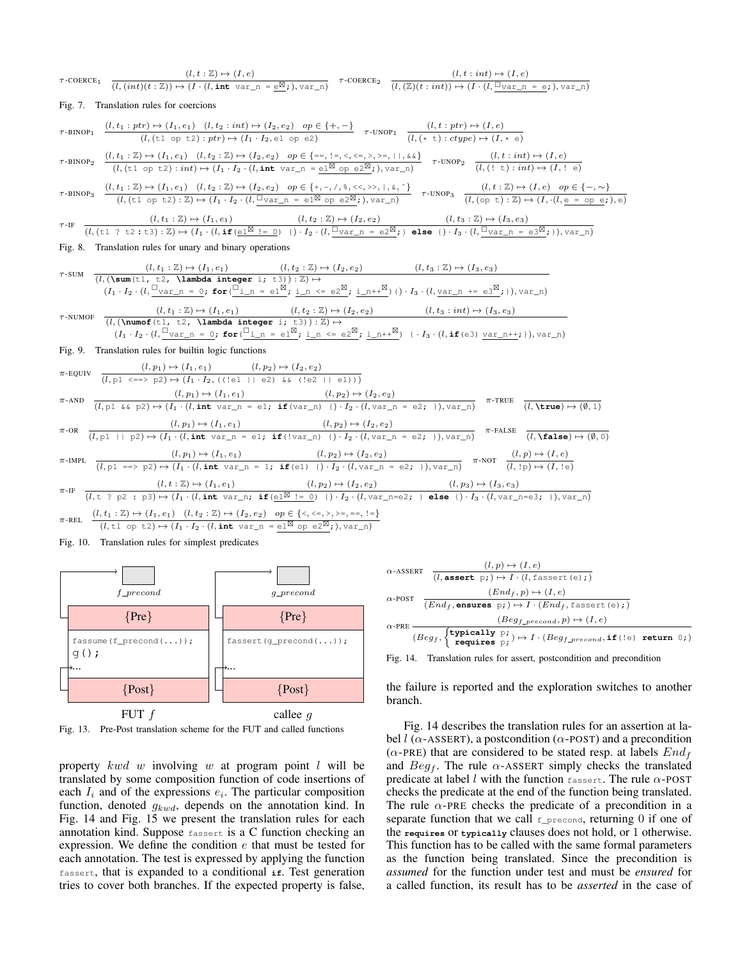| $\tau$ -COERCE <sub>1</sub> | $(l, t : \mathbb{Z}) \mapsto (I, e)$                                                                 | $\tau$ -COERCE <sub>2</sub> | $(l, t : int) \mapsto (I, e)$                                                             |  |
|-----------------------------|------------------------------------------------------------------------------------------------------|-----------------------------|-------------------------------------------------------------------------------------------|--|
|                             | $(l, (int)(t : \mathbb{Z})) \mapsto (I \cdot (l, \text{int var}_n = e^{\mathbb{Z}};), \text{var}_n)$ |                             | $(l,(\mathbb{Z})(t:int)) \mapsto (I\cdot (l, \Box_{\text{var\_}n} = e_i), \text{var\_}n)$ |  |

Fig. 7. Translation rules for coercions

$$
\tau\text{-BINOP1} \quad \frac{(l, t_1:ptr) \mapsto (I_1, e_1) \quad (l, t_2:int) \mapsto (I_2, e_2) \quad op \in \{+, -\}}{(l, (\text{tl op t2}):ptr) \mapsto (I_1 \cdot I_2, \text{el op e2})} \quad \tau\text{-UNOP1} \quad \frac{(l, t:ptr) \mapsto (I, e)}{(l, (* \text{ t}):ctype) \mapsto (I, * \text{ e})}
$$

$$
\tau\text{-BINOP}_2 \quad \frac{(l,t_1:\mathbb{Z}) \mapsto (I_1,e_1) \quad (l,t_2:\mathbb{Z}) \mapsto (I_2,e_2) \quad op \in \{==, !=,<,<=,>=, \mid, \&\&\} \quad (l,t: \mathit{int}) \mapsto (I,e) \quad (l,t: \mathit{int}) \mapsto (I,e) \quad (l,t: \mathit{int}) \mapsto (I,e) \quad (l,t: \mathit{int}) \mapsto (I,e) \quad (l,t: \mathit{int}) \mapsto (I,e) \quad (l,t: \mathit{int}) \mapsto (I,e) \quad (l,t: \mathit{int}) \mapsto (I,e) \quad (l,t: \mathit{int}) \mapsto (I,e) \quad (l,t: \mathit{int}) \mapsto (I,e) \quad (l,t: \mathit{int}) \mapsto (I,e) \quad (l,t: \mathit{int}) \mapsto (I,e) \quad (l,t: \mathit{int}) \mapsto (I,e) \quad (l,t: \mathit{int}) \mapsto (I,e) \quad (l,t: \mathit{int}) \mapsto (I,e) \quad (l,t: \mathit{int}) \mapsto (I,e) \quad (l,t: \mathit{int}) \mapsto (I,e) \quad (l,t: \mathit{int}) \mapsto (I,e) \quad (l,t: \mathit{int}) \mapsto (I,e) \quad (l,t: \mathit{int}) \mapsto (I,e) \quad (l,t: \mathit{int}) \mapsto (I,e) \quad (l,t: \mathit{int}) \mapsto (I,e) \quad (l,t: \mathit{int}) \mapsto (I,e) \quad (l,t: \mathit{int}) \mapsto (I,e) \quad (l,t: \mathit{int}) \mapsto (I,e) \quad (l,t: \mathit{int}) \mapsto (I,e) \quad (l,t: \mathit{int}) \mapsto (I,e) \quad (l,t: \mathit{int}) \mapsto (I,e) \quad (l,t: \mathit{int}) \mapsto (I,e) \quad (l,t: \mathit{int}) \mapsto (I,e) \quad (l,t: \mathit{int}) \mapsto (I,e) \quad (l,t: \mathit{int}) \mapsto (I,e) \quad (l,t: \mathit{int}) \mapsto (I,e) \quad (l,t: \mathit{int}) \mapsto (I,e) \quad (l,t: \mathit{int}) \mapsto (I,e) \quad (l,t: \mathit{int}) \mapsto (I,e) \quad (l,t: \mathit{
$$

$$
\tau\text{-BINOP}_3 \quad \frac{(l,t_1:\mathbb{Z}) \mapsto (I_1,e_1) \quad (l,t_2:\mathbb{Z}) \mapsto (I_2,e_2) \quad op \in \{+,-,/,\text{\texttt{S}},<\text{\texttt{S}},>\text{\texttt{S}},|,\text{\texttt{A}},\text{\texttt{B}} \}}{(l,(t_1 \text{ op } t_2):\mathbb{Z}) \mapsto (I_1 \cdot I_2 \cdot (l,\frac{\Box_{\text{Var}}_{\Box n} \quad = \text{e1}^{\boxtimes} \text{ op } e2^{\boxtimes} \mathbf{B}}{\text{ op } e2^{\boxtimes} \mathbf{B}}),\text{var\_n})}, \quad \tau\text{-UNOP}_3 \quad \frac{(l,t:\mathbb{Z}) \mapsto (I,e) \quad op \in \{-,\sim\}}{(l,(\text{op } t):\mathbb{Z}) \mapsto (I,\cdot(l,\underline{e} \; = \; \text{op } e\text{\texttt{B}}),\text{e})}
$$

$$
\tau\text{-IF} \quad \frac{(l, t_1 : \mathbb{Z}) \mapsto (I_1, e_1)}{(l, (\text{tl} ? \text{tl} ? \text{tl} ? \text{tl} ? \text{tl} ? \text{tl} ? \text{tl} ? \text{tl} ? \text{tl} ? \text{tl} ? \text{tl} ? \text{tl} ? \text{tl} ? \text{tl} ? \text{tl} ? \text{tl} ? \text{tl} ? \text{tl} ? \text{tl} ? \text{tl} ? \text{tl} ? \text{tl} ? \text{tl} ? \text{tl} ? \text{tl} ? \text{tl} ? \text{tl} ? \text{tl} ? \text{tl} ? \text{tl} ? \text{tl} ? \text{tl} ? \text{tl} ? \text{tl} ? \text{tl} ? \text{tl} ? \text{tl} ? \text{tl} ? \text{tl} ? \text{tl} ? \text{tl} ? \text{tl} ? \text{tl} ? \text{tl} ? \text{tl} ? \text{tl} ? \text{tl} ? \text{tl} ? \text{tl} ? \text{tl} ? \text{tl} ? \text{tl} ? \text{tl} ? \text{tl} ? \text{tl} ? \text{tl} ? \text{tl} ? \text{tl} ? \text{tl} ? \text{tl} ? \text{tl} ? \text{tl} ? \text{tl} ? \text{tl} ? \text{tl} ? \text{tl} ? \text{tl} ? \text{tl} ? \text{tl} ? \text{tl} ? \text{tl} ? \text{tl} ? \text{tl} ? \text{tl} ? \text{tl} ? \text{tl} ? \text{tl} ? \text{tl} ? \text{tl} ? \text{tl} ? \text{tl} ? \text{tl} ? \text{tl} ? \text{tl} ? \text{tl} ? \text{tl} ? \text{tl} ? \text{tl} ? \text{tl} ? \text{tl} ? \text{tl} ? \text{tl} ? \text{tl} ? \text{tl} ? \text{tl} ? \text{tl} ? \text{tl} ? \text{tl} ? \text{tl} ? \text{tl} ? \text{tl} ? \text{tl} ? \text{tl} ? \text{tl} ? \text{tl} ? \text{tl} ? \text{tl} ? \text{tl} ? \text{tl} ? \text{tl} ? \text{tl} ? \text{tl} ? \text{tl} ? \text{tl} ? \text{tl} ? \text{tl} ? \text{tl} ? \text{tl} ? \text{tl} ? \text{tl} ? \
$$

Fig. 8. Translation rules for unary and binary operations

τ -SUM (l, t<sup>1</sup> : Z) 7→ (I1, e1) (l, t<sup>2</sup> : Z) 7→ (I2, e2) (l, t<sup>3</sup> : Z) 7→ (I3, e3) (l, (**\sum**(t1, t2, **\lambda integer** i; t3)) : Z) 7→ (I<sup>1</sup> · <sup>I</sup><sup>2</sup> · (l, var\_n = 0; **for**( i\_n = e1-; i\_n <= e2-; i\_n++-){) · <sup>I</sup><sup>3</sup> · (l, var\_n += e3-;}), var\_n) τ -NUMOF (l, t<sup>1</sup> : Z) 7→ (I1, e1) (l, t<sup>2</sup> : Z) 7→ (I2, e2) (l, t<sup>3</sup> : int) 7→ (I3, e3) (l, (**\numof**(t1, t2, **\lambda integer** i; t3)) : Z) 7→

$$
(I_1 \cdot I_2 \cdot (l, \frac{\Box_{var_n n} = 0}{\Box_{var_n n} = 0}; \text{ for } (\frac{\Box_{i_n n} = e_1 \boxtimes j}{\Diamond_{i_n n} = 0}; \underline{i_n \cdot (l, \underline{i_n} = e_2 \boxtimes j}; \underline{i_n \cdot (l, \underline{i_n} = e_3 \land (l, \underline{i_n} = e_3 \land (l, \underline{i_n} = e_3 \land (l, \underline{i_n} = e_3 \land (l, \underline{i_n} = e_3 \land (l, \underline{i_n} = e_3 \land (l, \underline{i_n} = e_3 \land (l, \underline{i_n} = e_3 \land (l, \underline{i_n} = e_3 \land (l, \underline{i_n} = e_3 \land (l, \underline{i_n} = e_3 \land (l, \underline{i_n} = e_3 \land (l, \underline{i_n} = e_3 \land (l, \underline{i_n} = e_3 \land (l, \underline{i_n} = e_3 \land (l, \underline{i_n} = e_3 \land (l, \underline{i_n} = e_3 \land (l, \underline{i_n} = e_3 \land (l, \underline{i_n} = e_3 \land (l, \underline{i_n} = e_3 \land (l, \underline{i_n} = e_3 \land (l, \underline{i_n} = e_3 \land (l, \underline{i_n} = e_3 \land (l, \underline{i_n} = e_3 \land (l, \underline{i_n} = e_3 \land (l, \underline{i_n} = e_3 \land (l, \underline{i_n} = e_3 \land (l, \underline{i_n} = e_3 \land (l, \underline{i_n} = e_3 \land (l, \underline{i_n} = e_3 \land (l, \underline{i_n} = e_3 \land (l, \underline{i_n} = e_3 \land (l, \underline{i_n} = e_3 \land (l, \underline{i_n} = e_3 \land (l, \underline{i_n} = e_3 \land (l, \underline{i_n} = e_3 \land (l, \underline{i_n} = e_3 \land (l, \underline{i_n} = e_3 \land (l, \underline{i_n} = e_3 \land (l, \underline{i_n} = e_3 \land (l, \underline{i_n} = e_3 \land (l, \underline{i_n} = e_3 \land (l, \underline{i_n} = e_3 \land (l, \underline{i_n} = e_3 \land (l, \underline{i_n} = e_3 \land (l, \underline{i_n} = e_3 \land (l, \underline{i_n} = e_3 \land (
$$

Fig. 9. Translation rules for builtin logic functions

$$
\pi\text{-ROUV} \quad (l, p_1) \mapsto (I_1, e_1) \quad (l, p_2) \mapsto (I_2, e_2)
$$
\n
$$
\pi\text{-AND} \quad (l, p_1 \iff e_1) \iff (I_1, e_1) \quad (l, p_2) \iff (I_2, e_2) \iff (I_1, e_1) \quad (l, p_2) \iff (I_2, e_2)
$$
\n
$$
\pi\text{-AND} \quad (l, p_1 \iff \text{(l, p1 (l, int var_n = e1; if (var_n) / )}) \iff (I_1, e_1) \quad (l, p_2) \iff (I_2, e_2)
$$
\n
$$
\pi\text{-OR} \quad (l, p_1) \mapsto (I_1, e_1) \quad (l, p_2) \mapsto (I_2, e_2)
$$
\n
$$
\pi\text{-OR} \quad (l, p_1) \mapsto (I_1, e_1) \quad (l, p_2) \mapsto (I_2, e_2)
$$
\n
$$
\pi\text{-NRE} \quad (l, p_1) \mapsto (I_1, e_1) \quad (l, p_2) \mapsto (I_2, e_2)
$$
\n
$$
\pi\text{-MPL} \quad (l, p_1) \mapsto (I_1, e_1) \quad (l, p_2) \mapsto (I_2, e_2)
$$
\n
$$
\pi\text{-MPL} \quad (l, p_1) \mapsto (I_1, e_1) \quad (l, p_2) \mapsto (I_2, e_2)
$$
\n
$$
\pi\text{-MPL} \quad (l, p_1) \mapsto (I_1, e_1) \quad (l, p_2) \mapsto (I_2, e_2)
$$
\n
$$
\pi\text{-MPL} \quad (l, p_1) \mapsto (I_1, e_1) \quad (l, p_2) \mapsto (I_2, e_2)
$$
\n
$$
\pi\text{-MPL} \quad (l, p_1) \mapsto (I_1, e_1) \quad (l, p_2) \mapsto (I_2, e_2) \quad \pi\text{-NOT} \quad (l, p) \mapsto (I, e)
$$

π-IF (l, t : Z) 7→ (I1, e1) (l, p2) 7→ (I2, e2) (l, p3) 7→ (I3, e3) (l, t ? p2 : p3) 7→ (I<sup>1</sup> · (l, **int** var\_n; **if**(e1- != 0) {) · I<sup>2</sup> · (l, var\_n=e2; } **else** {) · I<sup>3</sup> · (l, var\_n=e3; }), var\_n) (l, t<sup>1</sup> : Z) 7→ (I1, e1) (l, t<sup>2</sup> : Z) 7→ (I2, e2) op ∈ {<, <=, >, >=, ==, !=}

 $\pi$ -REL  $(l, t1 \text{ op } t2) \mapsto (I_1 \cdot I_2 \cdot (l, \text{int var}_n = e1^{\boxtimes} \text{ op } e2^{\boxtimes};), \text{var}_n)$ 

Fig. 10. Translation rules for simplest predicates



Fig. 13. Pre-Post translation scheme for the FUT and called functions

property  $kwd$  w involving w at program point  $l$  will be translated by some composition function of code insertions of each  $I_i$  and of the expressions  $e_i$ . The particular composition function, denoted  $g_{kwd}$ , depends on the annotation kind. In Fig. 14 and Fig. 15 we present the translation rules for each annotation kind. Suppose fassert is a C function checking an expression. We define the condition e that must be tested for each annotation. The test is expressed by applying the function fassert, that is expanded to a conditional **if**. Test generation tries to cover both branches. If the expected property is false,

| $\alpha$ -ASSERT | $(l, p) \mapsto (I, e)$<br>$(l, \text{assert } p_i) \mapsto I \cdot (l, \text{fasset} (e))$                                                                  |  |
|------------------|--------------------------------------------------------------------------------------------------------------------------------------------------------------|--|
| $\alpha$ -POST   | $(End_f, p) \mapsto (I, e)$<br>$(End_f,$ ensures $p_i) \mapsto I \cdot (End_f,$ fassert (e);)                                                                |  |
| $\alpha$ -PRE    | $(Beg_{f\_precond}, p) \mapsto (I, e)$                                                                                                                       |  |
|                  | $(Beg_{f}, \begin{cases}\texttt{typically } p;\\ \texttt{requires } p; \end{cases}) \mapsto I \cdot (Beg_{f\_precond}, \texttt{if (!e)} \texttt return 0; )$ |  |

Fig. 14. Translation rules for assert, postcondition and precondition

the failure is reported and the exploration switches to another branch.

Fig. 14 describes the translation rules for an assertion at label  $l$  ( $\alpha$ -ASSERT), a postcondition ( $\alpha$ -POST) and a precondition ( $\alpha$ -PRE) that are considered to be stated resp. at labels  $End_f$ and  $Beg_f$ . The rule  $\alpha$ -ASSERT simply checks the translated predicate at label  $l$  with the function  $f$  fassert. The rule  $\alpha$ -POST checks the predicate at the end of the function being translated. The rule  $\alpha$ -PRE checks the predicate of a precondition in a separate function that we call  $f_{precond}$ , returning 0 if one of the **requires** or **typically** clauses does not hold, or 1 otherwise. This function has to be called with the same formal parameters as the function being translated. Since the precondition is *assumed* for the function under test and must be *ensured* for a called function, its result has to be *asserted* in the case of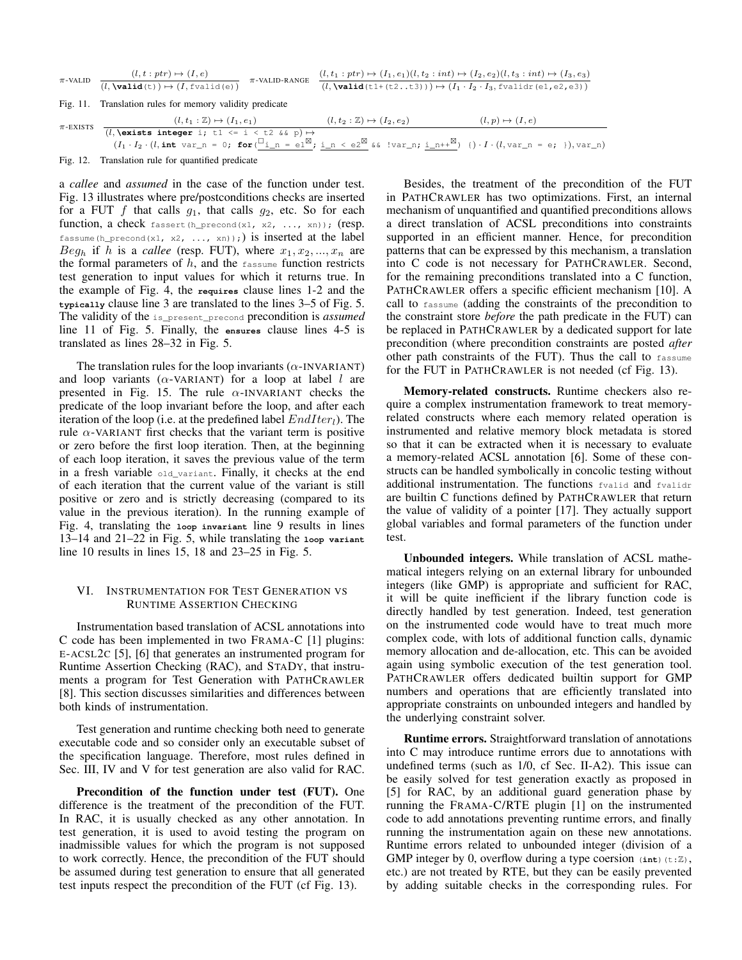|               | $\pi$ -VALID $(l, t : ptr) \mapsto (I, e)$<br>$(l, \text{valid}(t)) \mapsto (I, \text{valid}(e))$ $\pi$ -VALID-RANGE | $(l, t_1:ptr) \mapsto (I_1, e_1)(l, t_2: int) \mapsto (I_2, e_2)(l, t_3: int) \mapsto (I_3, e_3)$<br>$(l, \text{valid}(t1+(t2t3))) \mapsto (I_1 \cdot I_2 \cdot I_3, \text{fvalidr}(e1, e2, e3))$                                                                            |                         |
|---------------|----------------------------------------------------------------------------------------------------------------------|------------------------------------------------------------------------------------------------------------------------------------------------------------------------------------------------------------------------------------------------------------------------------|-------------------------|
|               | Fig. 11. Translation rules for memory validity predicate                                                             |                                                                                                                                                                                                                                                                              |                         |
| $\pi$ -EXISTS | $(l, t_1 : \mathbb{Z}) \mapsto (I_1, e_1)$<br>$(l, \text{exists integer } i; t1 \le i \le t2 \& p) \mapsto$          | $(l, t_2 : \mathbb{Z}) \mapsto (I_2, e_2)$                                                                                                                                                                                                                                   | $(l, p) \mapsto (I, e)$ |
|               |                                                                                                                      | $(I_1 \cdot I_2 \cdot (l, \text{int var}_n = 0; \text{ for } \left( \square_{i=1} = e1^{\boxtimes}; i=n \le e2^{\boxtimes} \text{ s} \text{!var}_n; i=n+ \text{!} \right) \text{ } (l \cdot I \cdot (l, \text{var}_n = e;\text{)}.(v_1 \cdot I \cdot (l, \text{var}_n = e))$ |                         |

Fig. 12. Translation rule for quantified predicate

a *callee* and *assumed* in the case of the function under test. Fig. 13 illustrates where pre/postconditions checks are inserted for a FUT f that calls  $g_1$ , that calls  $g_2$ , etc. So for each function, a check fassert(h\_precond(x1, x2, ..., xn)); (resp. fassume(h\_precond(x1, x2, ..., xn));) is inserted at the label  $Beg_h$  if h is a *callee* (resp. FUT), where  $x_1, x_2, ..., x_n$  are the formal parameters of  $h$ , and the  $f$  fassume function restricts test generation to input values for which it returns true. In the example of Fig. 4, the **requires** clause lines 1-2 and the **typically** clause line 3 are translated to the lines 3–5 of Fig. 5. The validity of the is\_present\_precond precondition is *assumed* line 11 of Fig. 5. Finally, the **ensures** clause lines 4-5 is translated as lines 28–32 in Fig. 5.

The translation rules for the loop invariants  $(\alpha$ -INVARIANT) and loop variants ( $\alpha$ -VARIANT) for a loop at label l are presented in Fig. 15. The rule  $\alpha$ -INVARIANT checks the predicate of the loop invariant before the loop, and after each iteration of the loop (i.e. at the predefined label  $EndIter_l$ ). The rule  $\alpha$ -VARIANT first checks that the variant term is positive or zero before the first loop iteration. Then, at the beginning of each loop iteration, it saves the previous value of the term in a fresh variable old\_variant. Finally, it checks at the end of each iteration that the current value of the variant is still positive or zero and is strictly decreasing (compared to its value in the previous iteration). In the running example of Fig. 4, translating the **loop invariant** line 9 results in lines 13–14 and 21–22 in Fig. 5, while translating the **loop variant** line 10 results in lines 15, 18 and 23–25 in Fig. 5.

## VI. INSTRUMENTATION FOR TEST GENERATION VS RUNTIME ASSERTION CHECKING

Instrumentation based translation of ACSL annotations into C code has been implemented in two FRAMA-C [1] plugins: E-ACSL2C [5], [6] that generates an instrumented program for Runtime Assertion Checking (RAC), and STADY, that instruments a program for Test Generation with PATHCRAWLER [8]. This section discusses similarities and differences between both kinds of instrumentation.

Test generation and runtime checking both need to generate executable code and so consider only an executable subset of the specification language. Therefore, most rules defined in Sec. III, IV and V for test generation are also valid for RAC.

Precondition of the function under test (FUT). One difference is the treatment of the precondition of the FUT. In RAC, it is usually checked as any other annotation. In test generation, it is used to avoid testing the program on inadmissible values for which the program is not supposed to work correctly. Hence, the precondition of the FUT should be assumed during test generation to ensure that all generated test inputs respect the precondition of the FUT (cf Fig. 13).

Besides, the treatment of the precondition of the FUT in PATHCRAWLER has two optimizations. First, an internal mechanism of unquantified and quantified preconditions allows a direct translation of ACSL preconditions into constraints supported in an efficient manner. Hence, for precondition patterns that can be expressed by this mechanism, a translation into C code is not necessary for PATHCRAWLER. Second, for the remaining preconditions translated into a C function, PATHCRAWLER offers a specific efficient mechanism [10]. A call to fassume (adding the constraints of the precondition to the constraint store *before* the path predicate in the FUT) can be replaced in PATHCRAWLER by a dedicated support for late precondition (where precondition constraints are posted *after* other path constraints of the FUT). Thus the call to fassume for the FUT in PATHCRAWLER is not needed (cf Fig. 13).

Memory-related constructs. Runtime checkers also require a complex instrumentation framework to treat memoryrelated constructs where each memory related operation is instrumented and relative memory block metadata is stored so that it can be extracted when it is necessary to evaluate a memory-related ACSL annotation [6]. Some of these constructs can be handled symbolically in concolic testing without additional instrumentation. The functions fvalid and fvalidr are builtin C functions defined by PATHCRAWLER that return the value of validity of a pointer [17]. They actually support global variables and formal parameters of the function under test.

Unbounded integers. While translation of ACSL mathematical integers relying on an external library for unbounded integers (like GMP) is appropriate and sufficient for RAC, it will be quite inefficient if the library function code is directly handled by test generation. Indeed, test generation on the instrumented code would have to treat much more complex code, with lots of additional function calls, dynamic memory allocation and de-allocation, etc. This can be avoided again using symbolic execution of the test generation tool. PATHCRAWLER offers dedicated builtin support for GMP numbers and operations that are efficiently translated into appropriate constraints on unbounded integers and handled by the underlying constraint solver.

Runtime errors. Straightforward translation of annotations into C may introduce runtime errors due to annotations with undefined terms (such as 1/0, cf Sec. II-A2). This issue can be easily solved for test generation exactly as proposed in [5] for RAC, by an additional guard generation phase by running the FRAMA-C/RTE plugin [1] on the instrumented code to add annotations preventing runtime errors, and finally running the instrumentation again on these new annotations. Runtime errors related to unbounded integer (division of a GMP integer by 0, overflow during a type coersion (int)(t:Z), etc.) are not treated by RTE, but they can be easily prevented by adding suitable checks in the corresponding rules. For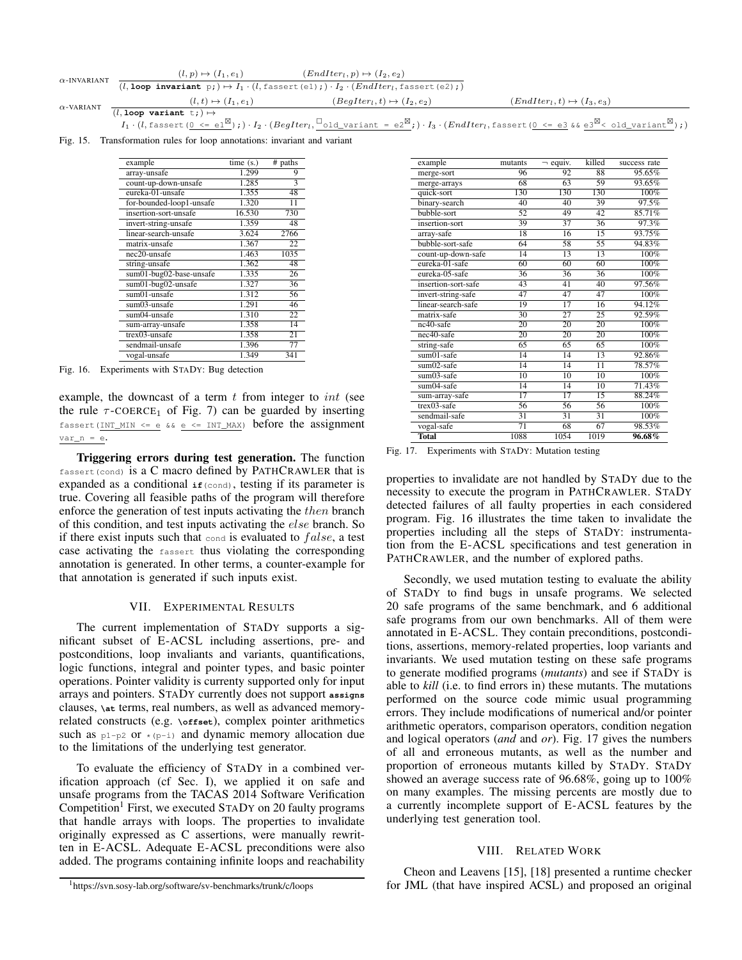| $\alpha$ -INVARIANT | $(l, p) \mapsto (I_1, e_1)$             | $(EndIter_l, p) \mapsto (I_2, e_2)$                                                                                            |                                     |  |
|---------------------|-----------------------------------------|--------------------------------------------------------------------------------------------------------------------------------|-------------------------------------|--|
|                     |                                         | $(l, \text{loop invariant p}) \mapsto I_1 \cdot (l, \text{fassert (e1)}; ) \cdot I_2 \cdot (EndIter_l, \text{fassert (e2)}; )$ |                                     |  |
|                     | $(l, t) \mapsto (I_1, e_1)$             | $(BegIter_1, t) \mapsto (I_2, e_2)$                                                                                            | $(EndIter_l, t) \mapsto (I_3, e_3)$ |  |
| $\alpha$ -VARIANT   | $(l, \texttt{loop variant } t) \mapsto$ |                                                                                                                                |                                     |  |

 $I_1\cdot (l,\texttt{fassert}\,(\underline{0}\leq -\underline{e_1}\underline{\boxtimes})$  ;) ·  $I_2\cdot (BegIter_l, \frac{\Box}{\Box}\texttt{old\_variant}\, =\, \underline{e_2}\underline{\boxtimes}$  ;) ·  $I_3\cdot (EndIter_l,\texttt{fassert}\,(\underline{0}\leq -\underline{e_3}\ \&\ \underline{e_3}\underline{\boxtimes}< \, \texttt{old\_variant}\,\boxtimes)$  ;)

Fig. 15. Transformation rules for loop annotations: invariant and variant

| example                  | time(s.)           | # paths         |
|--------------------------|--------------------|-----------------|
| array-unsafe             | 1.299              | 9               |
| count-up-down-unsafe     | 1.285              | 3               |
| eureka-01-unsafe         | 1.355              | 48              |
| for-bounded-loop1-unsafe | $1.\overline{320}$ | 11              |
| insertion-sort-unsafe    | 16.530             | 730             |
| invert-string-unsafe     | 1.359              | 48              |
| linear-search-unsafe     | 3.624              | 2766            |
| matrix-unsafe            | 1.367              | $\overline{22}$ |
| nec20-unsafe             | 1.463              | 1035            |
| string-unsafe            | 1.362              | 48              |
| sum01-bug02-base-unsafe  | 1.335              | 26              |
| sum01-bug02-unsafe       | 1.327              | 36              |
| sum01-unsafe             | 1.312              | 56              |
| sum03-unsafe             | 1.291              | 46              |
| sum04-unsafe             | 1.310              | 22              |
| sum-array-unsafe         | 1.358              | 14              |
| trex03-unsafe            | 1.358              | 21              |
| sendmail-unsafe          | 1.396              | 77              |
| vogal-unsafe             | 1.349              | 341             |
|                          |                    |                 |

Fig. 16. Experiments with STADY: Bug detection

example, the downcast of a term  $t$  from integer to  $int$  (see the rule  $\tau$ -COERCE<sub>1</sub> of Fig. 7) can be guarded by inserting fassert (INT\_MIN <= e && e <= INT\_MAX) before the assignment  $var_n = e$ .

Triggering errors during test generation. The function fassert (cond) is a C macro defined by PATHCRAWLER that is expanded as a conditional  $if(\text{cond})$ , testing if its parameter is true. Covering all feasible paths of the program will therefore enforce the generation of test inputs activating the then branch of this condition, and test inputs activating the else branch. So if there exist inputs such that  $_{\text{cond}}$  is evaluated to  $false$ , a test case activating the fassert thus violating the corresponding annotation is generated. In other terms, a counter-example for that annotation is generated if such inputs exist.

## VII. EXPERIMENTAL RESULTS

The current implementation of STADY supports a significant subset of E-ACSL including assertions, pre- and postconditions, loop invaliants and variants, quantifications, logic functions, integral and pointer types, and basic pointer operations. Pointer validity is currenty supported only for input arrays and pointers. STADY currently does not support **assigns** clauses, **\at** terms, real numbers, as well as advanced memoryrelated constructs (e.g. **\offset**), complex pointer arithmetics such as  $p_1-p_2$  or  $\star$  ( $p-i$ ) and dynamic memory allocation due to the limitations of the underlying test generator.

To evaluate the efficiency of STADY in a combined verification approach (cf Sec. I), we applied it on safe and unsafe programs from the TACAS 2014 Software Verification Competition<sup>1</sup> First, we executed STADY on 20 faulty programs that handle arrays with loops. The properties to invalidate originally expressed as C assertions, were manually rewritten in E-ACSL. Adequate E-ACSL preconditions were also added. The programs containing infinite loops and reachability

| example                 | mutants         | $\neg$ equiv.   | killed          | success rate |
|-------------------------|-----------------|-----------------|-----------------|--------------|
| merge-sort              | 96              | 92              | 88              | 95.65%       |
| merge-arrays            | 68              | 63              | 59              | 93.65%       |
| quick-sort              | 130             | 130             | 130             | 100%         |
| binary-search           | 40              | 40              | 39              | 97.5%        |
| bubble-sort             | $\overline{52}$ | 49              | 42              | 85.71%       |
| insertion-sort          | 39              | 37              | 36              | 97.3%        |
| array-safe              | 18              | 16              | $\overline{15}$ | 93.75%       |
| bubble-sort-safe        | 64              | 58              | 55              | 94.83%       |
| count-up-down-safe      | $\overline{14}$ | 13              | 13              | 100%         |
| eureka-01-safe          | 60              | 60              | 60              | 100%         |
| eureka-05-safe          | 36              | 36              | 36              | 100%         |
| insertion-sort-safe     | 43              | 41              | 40              | 97.56%       |
| invert-string-safe      | 47              | 47              | 47              | 100%         |
| linear-search-safe      | 19              | 17              | 16              | 94.12%       |
| matrix-safe             | $\overline{30}$ | $\overline{27}$ | $\overline{25}$ | 92.59%       |
| nc40-safe               | 20              | 20              | 20              | 100%         |
| nec <sub>40</sub> -safe | 20              | 20              | 20              | 100%         |
| string-safe             | 65              | $\overline{65}$ | 65              | 100%         |
| $sum01$ -safe           | 14              | 14              | 13              | 92.86%       |
| $sum02$ -safe           | 14              | 14              | 11              | 78.57%       |
| $sum03$ -safe           | $\overline{10}$ | $\overline{10}$ | 10              | 100%         |
| $sum04$ -safe           | 14              | 14              | 10              | 71.43%       |
| sum-array-safe          | 17              | 17              | 15              | 88.24%       |
| $t$ rex $03$ -safe      | 56              | 56              | 56              | 100%         |
| sendmail-safe           | 31              | $\overline{31}$ | 31              | 100%         |
| vogal-safe              | $\overline{71}$ | 68              | 67              | 98.53%       |
| <b>Total</b>            | 1088            | 1054            | 1019            | 96.68%       |

Fig. 17. Experiments with STADY: Mutation testing

properties to invalidate are not handled by STADY due to the necessity to execute the program in PATHCRAWLER. STADY detected failures of all faulty properties in each considered program. Fig. 16 illustrates the time taken to invalidate the properties including all the steps of STADY: instrumentation from the E-ACSL specifications and test generation in PATHCRAWLER, and the number of explored paths.

Secondly, we used mutation testing to evaluate the ability of STADY to find bugs in unsafe programs. We selected 20 safe programs of the same benchmark, and 6 additional safe programs from our own benchmarks. All of them were annotated in E-ACSL. They contain preconditions, postconditions, assertions, memory-related properties, loop variants and invariants. We used mutation testing on these safe programs to generate modified programs (*mutants*) and see if STADY is able to *kill* (i.e. to find errors in) these mutants. The mutations performed on the source code mimic usual programming errors. They include modifications of numerical and/or pointer arithmetic operators, comparison operators, condition negation and logical operators (*and* and *or*). Fig. 17 gives the numbers of all and erroneous mutants, as well as the number and proportion of erroneous mutants killed by STADY. STADY showed an average success rate of 96.68%, going up to 100% on many examples. The missing percents are mostly due to a currently incomplete support of E-ACSL features by the underlying test generation tool.

#### VIII. RELATED WORK

Cheon and Leavens [15], [18] presented a runtime checker for JML (that have inspired ACSL) and proposed an original

<sup>1</sup>https://svn.sosy-lab.org/software/sv-benchmarks/trunk/c/loops